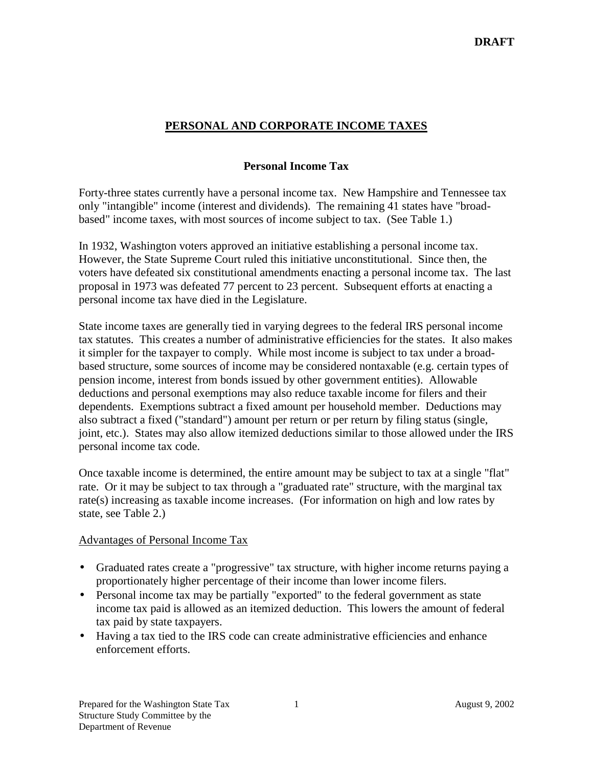# **PERSONAL AND CORPORATE INCOME TAXES**

## **Personal Income Tax**

Forty-three states currently have a personal income tax. New Hampshire and Tennessee tax only "intangible" income (interest and dividends). The remaining 41 states have "broadbased" income taxes, with most sources of income subject to tax. (See Table 1.)

In 1932, Washington voters approved an initiative establishing a personal income tax. However, the State Supreme Court ruled this initiative unconstitutional. Since then, the voters have defeated six constitutional amendments enacting a personal income tax. The last proposal in 1973 was defeated 77 percent to 23 percent. Subsequent efforts at enacting a personal income tax have died in the Legislature.

State income taxes are generally tied in varying degrees to the federal IRS personal income tax statutes. This creates a number of administrative efficiencies for the states. It also makes it simpler for the taxpayer to comply. While most income is subject to tax under a broadbased structure, some sources of income may be considered nontaxable (e.g. certain types of pension income, interest from bonds issued by other government entities). Allowable deductions and personal exemptions may also reduce taxable income for filers and their dependents. Exemptions subtract a fixed amount per household member. Deductions may also subtract a fixed ("standard") amount per return or per return by filing status (single, joint, etc.). States may also allow itemized deductions similar to those allowed under the IRS personal income tax code.

Once taxable income is determined, the entire amount may be subject to tax at a single "flat" rate. Or it may be subject to tax through a "graduated rate" structure, with the marginal tax rate(s) increasing as taxable income increases. (For information on high and low rates by state, see Table 2.)

### Advantages of Personal Income Tax

- Graduated rates create a "progressive" tax structure, with higher income returns paying a proportionately higher percentage of their income than lower income filers.
- Personal income tax may be partially "exported" to the federal government as state income tax paid is allowed as an itemized deduction. This lowers the amount of federal tax paid by state taxpayers.
- Having a tax tied to the IRS code can create administrative efficiencies and enhance enforcement efforts.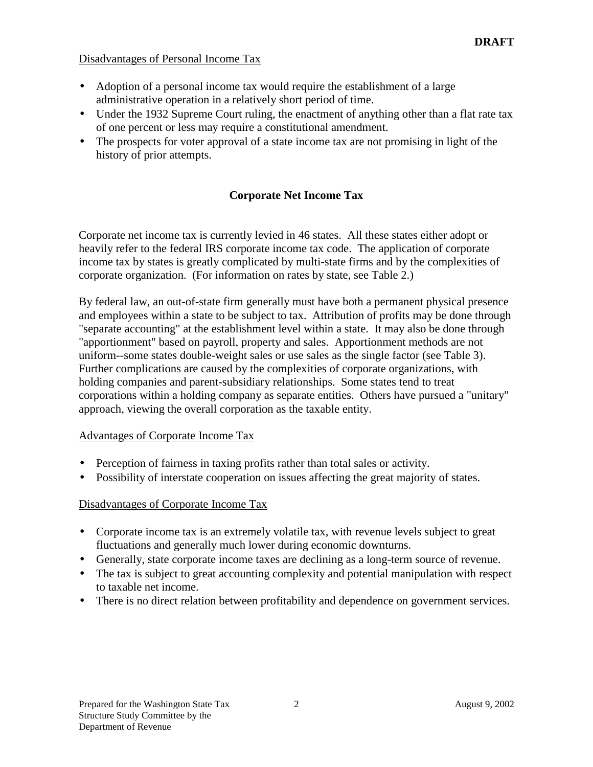## Disadvantages of Personal Income Tax

- Adoption of a personal income tax would require the establishment of a large administrative operation in a relatively short period of time.
- Under the 1932 Supreme Court ruling, the enactment of anything other than a flat rate tax of one percent or less may require a constitutional amendment.
- The prospects for voter approval of a state income tax are not promising in light of the history of prior attempts.

## **Corporate Net Income Tax**

Corporate net income tax is currently levied in 46 states. All these states either adopt or heavily refer to the federal IRS corporate income tax code. The application of corporate income tax by states is greatly complicated by multi-state firms and by the complexities of corporate organization. (For information on rates by state, see Table 2.)

By federal law, an out-of-state firm generally must have both a permanent physical presence and employees within a state to be subject to tax. Attribution of profits may be done through "separate accounting" at the establishment level within a state. It may also be done through "apportionment" based on payroll, property and sales. Apportionment methods are not uniform--some states double-weight sales or use sales as the single factor (see Table 3). Further complications are caused by the complexities of corporate organizations, with holding companies and parent-subsidiary relationships. Some states tend to treat corporations within a holding company as separate entities. Others have pursued a "unitary" approach, viewing the overall corporation as the taxable entity.

### Advantages of Corporate Income Tax

- Perception of fairness in taxing profits rather than total sales or activity.
- Possibility of interstate cooperation on issues affecting the great majority of states.

## Disadvantages of Corporate Income Tax

- Corporate income tax is an extremely volatile tax, with revenue levels subject to great fluctuations and generally much lower during economic downturns.
- Generally, state corporate income taxes are declining as a long-term source of revenue.
- The tax is subject to great accounting complexity and potential manipulation with respect to taxable net income.
- There is no direct relation between profitability and dependence on government services.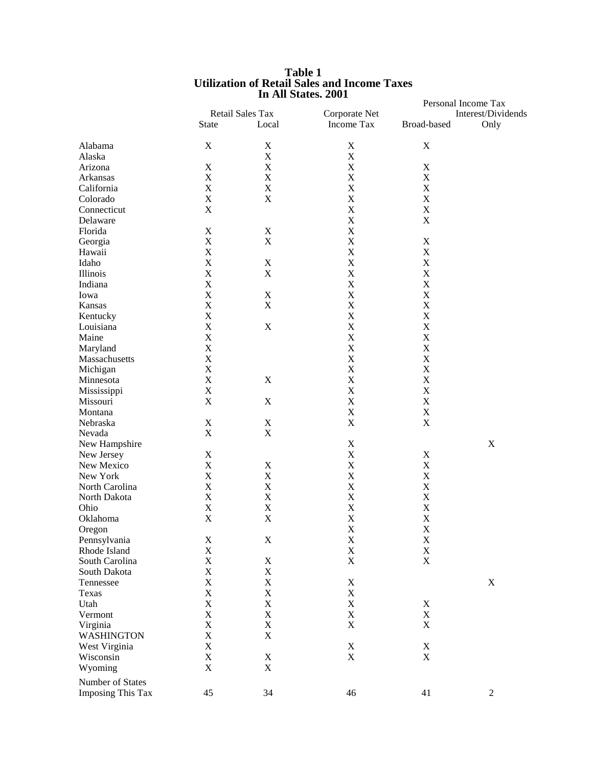|                                              |                           | In All States. 2001 |                            |                            | Personal Income Tax |  |
|----------------------------------------------|---------------------------|---------------------|----------------------------|----------------------------|---------------------|--|
|                                              | Retail Sales Tax          |                     | Corporate Net              | Interest/Dividends         |                     |  |
|                                              | State                     | Local               | Income Tax                 | Broad-based                | Only                |  |
| Alabama                                      | $\mathbf X$               | $\mathbf X$         | $\mathbf X$                | $\mathbf X$                |                     |  |
| Alaska                                       |                           | $\mathbf X$         | $\mathbf X$                |                            |                     |  |
| Arizona                                      | $\mathbf X$               | $\mathbf X$         | $\mathbf X$                | $\mathbf X$                |                     |  |
| Arkansas                                     | $\mathbf X$               | X                   | $\mathbf X$                | $\mathbf X$                |                     |  |
| California                                   | $\mathbf X$               | $\mathbf X$         | $\mathbf X$                | $\mathbf X$                |                     |  |
| Colorado                                     | $\mathbf X$               | $\mathbf X$         | $\mathbf X$                | $\mathbf X$                |                     |  |
| Connecticut                                  | $\mathbf X$               |                     | $\mathbf X$                | $\mathbf X$                |                     |  |
| Delaware                                     |                           |                     | $\mathbf X$                | $\mathbf X$                |                     |  |
| Florida                                      | $\mathbf X$               | $\mathbf X$         | $\mathbf X$                |                            |                     |  |
| Georgia                                      | $\mathbf X$               | $\mathbf X$         | $\mathbf X$                | $\mathbf X$                |                     |  |
| Hawaii                                       | $\mathbf X$               |                     | $\mathbf X$                | $\mathbf X$                |                     |  |
| Idaho                                        | $\mathbf X$               | $\mathbf X$         | $\mathbf X$                | $\mathbf X$                |                     |  |
| Illinois                                     | $\mathbf X$               | $\mathbf X$         | $\mathbf X$                | $\mathbf X$                |                     |  |
| Indiana                                      | $\mathbf X$               |                     | $\mathbf X$                | $\mathbf X$                |                     |  |
| Iowa                                         | $\mathbf X$               | $\mathbf X$         | $\mathbf X$                | $\mathbf X$                |                     |  |
| Kansas                                       | $\mathbf X$               | $\mathbf X$         | $\mathbf X$                | $\mathbf X$                |                     |  |
|                                              |                           |                     |                            |                            |                     |  |
| Kentucky                                     | $\mathbf X$               |                     | $\mathbf X$                | $\mathbf X$                |                     |  |
| Louisiana                                    | $\bar{X}$                 | $\mathbf X$         | $\mathbf X$                | $\mathbf X$                |                     |  |
| Maine                                        | $\bar{X}$                 |                     | $\mathbf X$                | $\mathbf X$                |                     |  |
| Maryland                                     | $\bar{X}$                 |                     | $\overline{X}$             | $\mathbf X$                |                     |  |
| Massachusetts                                | $\mathbf X$               |                     | $\mathbf X$                | $\mathbf X$                |                     |  |
| Michigan                                     | $\mathbf X$               |                     | $\mathbf X$                | $\mathbf X$                |                     |  |
| Minnesota                                    | $\mathbf X$               | $\mathbf X$         | $\mathbf X$                | $\mathbf X$                |                     |  |
| Mississippi                                  | $\mathbf X$               |                     | $\mathbf X$                | $\mathbf X$                |                     |  |
| Missouri                                     | $\mathbf X$               | $\mathbf X$         | $\mathbf X$                | $\mathbf X$                |                     |  |
| Montana                                      |                           |                     | $\mathbf X$                | $\mathbf X$                |                     |  |
| Nebraska                                     | $\boldsymbol{\mathrm{X}}$ | $\mathbf X$         | $\mathbf X$                | $\mathbf X$                |                     |  |
| Nevada                                       | $\mathbf X$               | $\mathbf X$         |                            |                            |                     |  |
| New Hampshire                                |                           |                     | $\mathbf X$                |                            | $\mathbf X$         |  |
| New Jersey                                   | $\mathbf X$               |                     | $\mathbf X$                | $\mathbf X$                |                     |  |
| New Mexico                                   | $\mathbf X$               | $\mathbf X$         | $\mathbf X$                | $\mathbf X$                |                     |  |
| New York                                     | $\mathbf X$               | $\mathbf X$         | $\mathbf X$                | $\mathbf X$                |                     |  |
| North Carolina                               | $\mathbf X$               | $\mathbf X$         | $\mathbf X$                | $\mathbf X$                |                     |  |
| North Dakota                                 | $\mathbf X$               | X                   | $\mathbf X$                | $\mathbf X$                |                     |  |
| Ohio                                         | $\mathbf X$               | $\mathbf X$         | $\mathbf X$                | $\mathbf X$                |                     |  |
| Oklahoma                                     | $\mathbf X$               | X                   | $\mathbf X$                | $\mathbf X$                |                     |  |
| Oregon                                       |                           |                     | $\mathbf X$                | $\mathbf X$                |                     |  |
| Pennsylvania                                 | X                         | $\mathbf X$         | $\mathbf X$                | $\mathbf X$                |                     |  |
| Rhode Island                                 | $\mathbf X$               |                     | $\mathbf X$                | $\mathbf X$                |                     |  |
| South Carolina                               | $\mathbf X$               | $\mathbf X$         | $\mathbf X$                | $\mathbf X$                |                     |  |
| South Dakota                                 | $\mathbf X$               | $\mathbf X$         |                            |                            |                     |  |
| Tennessee                                    | $\mathbf X$               | $\mathbf X$         | $\mathbf X$                |                            | $\mathbf X$         |  |
| Texas                                        | $\mathbf X$               | $\mathbf X$         | $\mathbf X$                |                            |                     |  |
| Utah                                         | $\mathbf X$               | $\mathbf X$         | $\mathbf X$                | $\mathbf X$                |                     |  |
| Vermont                                      | $\mathbf X$               | $\mathbf X$         | $\mathbf X$                | $\mathbf X$                |                     |  |
| Virginia                                     | $\mathbf X$               | $\mathbf X$         | $\mathbf X$                | $\mathbf X$                |                     |  |
| <b>WASHINGTON</b>                            | $\mathbf X$               | $\mathbf X$         |                            |                            |                     |  |
|                                              |                           |                     |                            |                            |                     |  |
| West Virginia                                | $\mathbf X$               |                     | $\mathbf X$<br>$\mathbf X$ | $\mathbf X$<br>$\mathbf X$ |                     |  |
| Wisconsin                                    | $\mathbf X$               | $\mathbf X$         |                            |                            |                     |  |
| Wyoming                                      | $\mathbf X$               | $\mathbf X$         |                            |                            |                     |  |
| Number of States<br><b>Imposing This Tax</b> | 45                        | 34                  | 46                         | 41                         | $\overline{2}$      |  |
|                                              |                           |                     |                            |                            |                     |  |

#### **Table 1 Utilization of Retail Sales and Income Taxes In All States, 2001**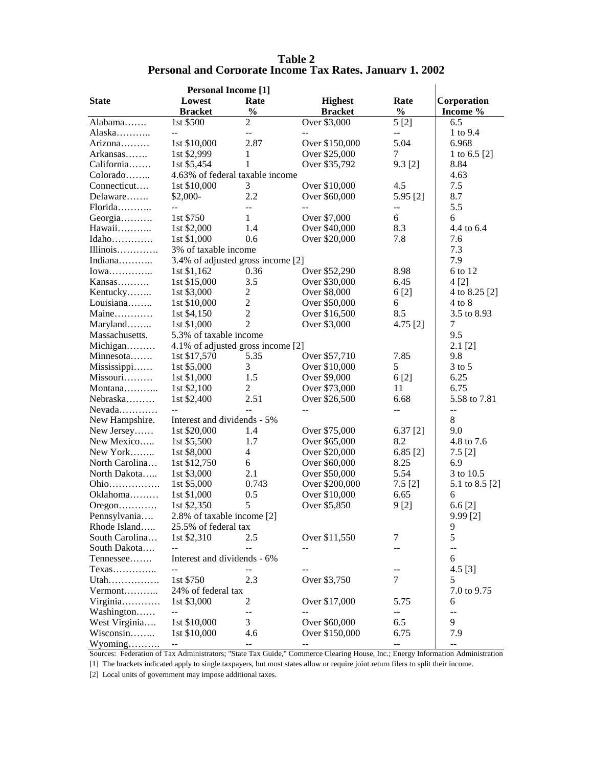| <b>Table 2</b>                                                  |
|-----------------------------------------------------------------|
| <b>Personal and Corporate Income Tax Rates, January 1, 2002</b> |

l.

| <b>Personal Income [1]</b> |                                   |                            |                |               |                |  |
|----------------------------|-----------------------------------|----------------------------|----------------|---------------|----------------|--|
| <b>State</b>               | Lowest                            | Rate                       | <b>Highest</b> | Rate          | Corporation    |  |
|                            | <b>Bracket</b>                    | $\frac{0}{0}$              | <b>Bracket</b> | $\frac{0}{0}$ | Income %       |  |
| Alabama                    | 1st \$500                         | $\overline{c}$             | Over \$3,000   | 5[2]          | 6.5            |  |
| Alaska                     | $-$                               | $-$                        |                | $- -$         | 1 to 9.4       |  |
| Arizona                    | 1st \$10,000                      | 2.87                       | Over \$150,000 | 5.04          | 6.968          |  |
| Arkansas                   | 1st \$2,999                       | 1                          | Over \$25,000  | 7             | 1 to 6.5 [2]   |  |
| California                 | 1st \$5,454                       | 1                          | Over \$35,792  | $9.3$ [2]     | 8.84           |  |
| Colorado                   | 4.63% of federal taxable income   |                            |                |               | 4.63           |  |
| Connecticut                | 1st \$10,000                      | 3                          | Over \$10,000  | 4.5           | 7.5            |  |
| Delaware                   | \$2,000-                          | 2.2                        | Over \$60,000  | 5.95 [2]      | 8.7            |  |
| Florida                    | --                                | $-$                        |                | --            | 5.5            |  |
| Georgia                    | 1st \$750                         | 1                          | Over \$7,000   | 6             | 6              |  |
| Hawaii                     | 1st \$2,000                       | 1.4                        | Over \$40,000  | 8.3           | 4.4 to 6.4     |  |
| Idaho                      | 1st \$1,000                       | 0.6                        | Over \$20,000  | 7.8           | 7.6            |  |
| $IIIinois$                 | 3% of taxable income              |                            |                |               | 7.3            |  |
| Indiana                    | 3.4% of adjusted gross income [2] |                            |                |               | 7.9            |  |
| $Iowa$                     | 1st \$1,162                       | 0.36                       | Over \$52,290  | 8.98          | 6 to 12        |  |
| Kansas                     | 1st \$15,000                      | 3.5                        | Over \$30,000  | 6.45          | 4[2]           |  |
| Kentucky                   | 1st \$3,000                       | $\mathbf{2}$               | Over \$8,000   | 6[2]          | 4 to 8.25 [2]  |  |
| Louisiana                  | 1st \$10,000                      | $\mathbf{2}$               | Over \$50,000  | 6             | $4$ to $8$     |  |
| Maine                      | 1st \$4,150                       | $\overline{2}$             | Over \$16,500  | 8.5           | 3.5 to 8.93    |  |
| Maryland                   | 1st \$1,000                       | $\overline{2}$             | Over \$3,000   | 4.75[2]       | 7              |  |
| Massachusetts.             | 5.3% of taxable income            |                            |                |               | 9.5            |  |
| Michigan                   | 4.1% of adjusted gross income [2] |                            |                |               | $2.1$ [2]      |  |
| Minnesota                  | 1st \$17,570                      | 5.35                       | Over \$57,710  | 7.85          | 9.8            |  |
| Mississippi                | 1st \$5,000                       | 3                          | Over \$10,000  | 5             | $3$ to $5$     |  |
| Missouri                   | 1st \$1,000                       | 1.5                        | Over \$9,000   | 6[2]          | 6.25           |  |
| Montana                    | 1st \$2,100                       | 2                          | Over \$73,000  | 11            | 6.75           |  |
| Nebraska                   | 1st \$2,400                       | 2.51                       | Over \$26,500  | 6.68          | 5.58 to 7.81   |  |
|                            | $\overline{a}$                    |                            | $\overline{a}$ | --            | $-$            |  |
| New Hampshire.             | Interest and dividends - 5%       |                            |                |               | 8              |  |
| New Jersey                 | 1st \$20,000                      | 1.4                        | Over \$75,000  | 6.37[2]       | 9.0            |  |
| New Mexico                 | 1st \$5,500                       | 1.7                        | Over \$65,000  | 8.2           | 4.8 to 7.6     |  |
| New York                   | 1st \$8,000                       | $\overline{4}$             | Over \$20,000  | 6.85[2]       | 7.5[2]         |  |
| North Carolina             | 1st \$12,750                      | 6                          | Over \$60,000  | 8.25          | 6.9            |  |
| North Dakota               | 1st \$3,000                       | 2.1                        | Over \$50,000  | 5.54          | 3 to 10.5      |  |
| Ohio                       | 1st \$5,000                       | 0.743                      | Over \$200,000 | $7.5$ [2]     | 5.1 to 8.5 [2] |  |
| Oklahoma                   | 1st \$1,000                       | 0.5                        | Over \$10,000  | 6.65          | 6              |  |
| $O$ regon                  | 1st \$2,350                       | 5                          | Over \$5,850   | 9 [2]         | 6.6 [2]        |  |
| Pennsylvania               |                                   |                            |                |               | $9.99$ [2]     |  |
| Rhode Island               | 25.5% of federal tax              | 2.8% of taxable income [2] |                |               |                |  |
| South Carolina             | 1st \$2,310                       | 2.5                        | Over \$11,550  | 7             | 9<br>5         |  |
|                            | $\overline{a}$                    |                            |                |               |                |  |
| South Dakota               | Interest and dividends - 6%       |                            |                |               | $-$            |  |
| Tennessee                  |                                   |                            |                |               | 6              |  |
| $T$ exas                   |                                   |                            |                | $\tau$        | $4.5$ [3]      |  |
| Utah                       | 1st \$750                         | 2.3                        | Over \$3,750   |               | 5              |  |
| Vermont                    | 24% of federal tax                |                            |                |               | 7.0 to 9.75    |  |
| Virginia                   | 1st \$3,000                       | $\overline{c}$             | Over \$17,000  | 5.75          | 6              |  |
| Washington                 | $\overline{a}$                    |                            |                | --            | $\overline{a}$ |  |
| West Virginia              | 1st \$10,000                      | 3                          | Over \$60,000  | 6.5           | 9              |  |
| Wisconsin                  | 1st \$10,000                      | 4.6                        | Over \$150,000 | 6.75          | 7.9            |  |
| $Wyoming$                  |                                   | $-$                        |                | --            | --             |  |

Sources: Federation of Tax Administrators; "State Tax Guide," Commerce Clearing House, Inc.; Energy Information Administration

[1] The brackets indicated apply to single taxpayers, but most states allow or require joint return filers to split their income.

[2] Local units of government may impose additional taxes.